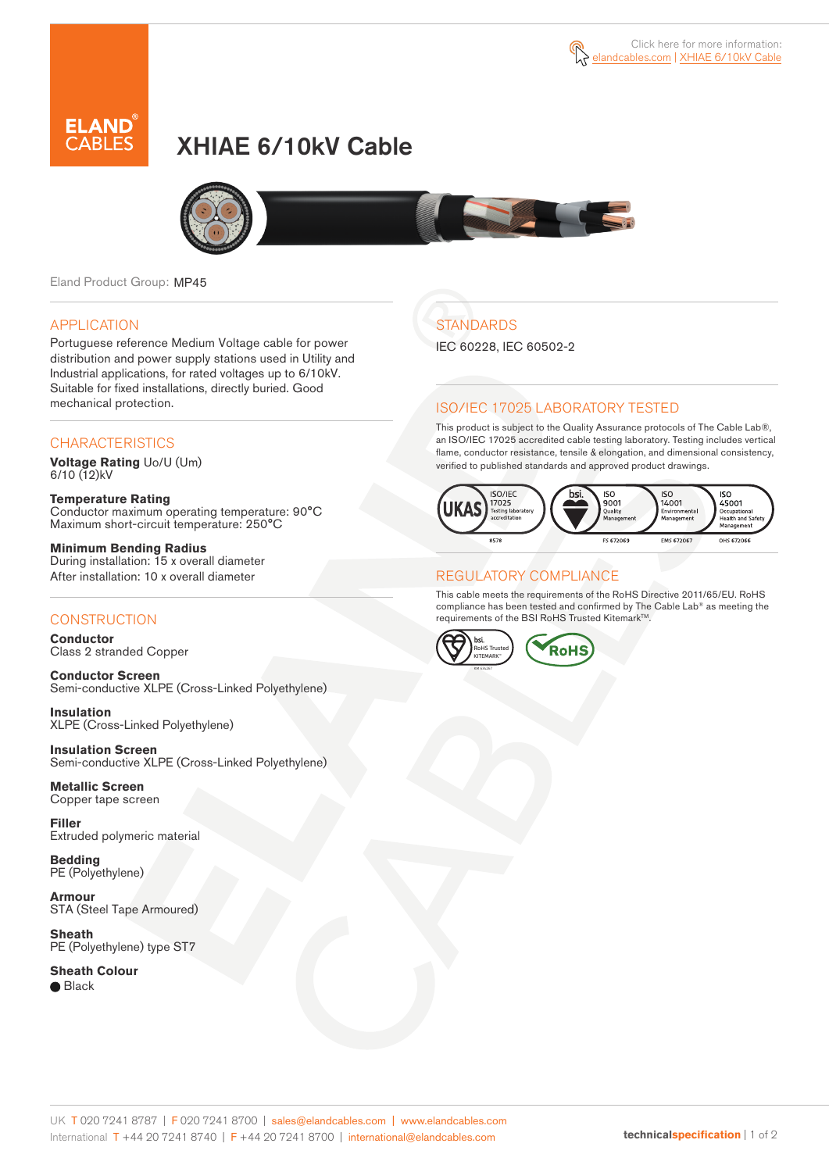

# XHIAE 6/10kV Cable



Eland Product Group: MP45

### APPLICATION

Portuguese reference Medium Voltage cable for power distribution and power supply stations used in Utility and Industrial applications, for rated voltages up to 6/10kV. Suitable for fixed installations, directly buried. Good mechanical protection.

### **CHARACTERISTICS**

**Voltage Rating** Uo/U (Um)  $6/10(12)$ kV

**Temperature Rating** Conductor maximum operating temperature: 90°C Maximum short-circuit temperature: 250°C

**Minimum Bending Radius** During installation: 15 x overall diameter After installation: 10 x overall diameter

### **CONSTRUCTION**

**Conductor**  Class 2 stranded Copper

**Conductor Screen** Semi-conductive XLPE (Cross-Linked Polyethylene)

**Insulation** XLPE (Cross-Linked Polyethylene)

**Insulation Screen** Semi-conductive XLPE (Cross-Linked Polyethylene)

**Metallic Screen**  Copper tape screen

**Filler** Extruded polymeric material

**Bedding** PE (Polyethylene)

**Armour** STA (Steel Tape Armoured)

**Sheath** PE (Polyethylene) type ST7

**Sheath Colour** 

● Black

## **STANDARDS**

IEC 60228, IEC 60502-2

### ISO/IEC 17025 LABORATORY TESTED

This product is subject to the Quality Assurance protocols of The Cable Lab®, an ISO/IEC 17025 accredited cable testing laboratory. Testing includes vertical flame, conductor resistance, tensile & elongation, and dimensional consistency, verified to published standards and approved product drawings.



#### REGULATORY COMPLIANCE

This cable meets the requirements of the RoHS Directive 2011/65/EU. RoHS compliance has been tested and confirmed by The Cable Lab® as meeting the requirements of the BSI RoHS Trusted Kitemark™.